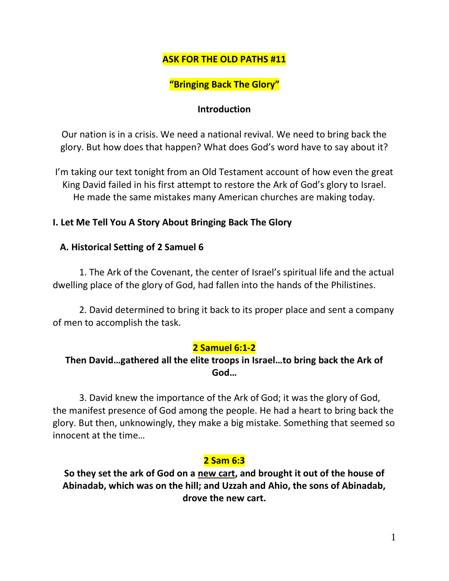## **ASK FOR THE OLD PATHS #11**

# **"Bringing Back The Glory"**

#### **Introduction**

Our nation is in a crisis. We need a national revival. We need to bring back the glory. But how does that happen? What does God's word have to say about it?

I'm taking our text tonight from an Old Testament account of how even the great King David failed in his first attempt to restore the Ark of God's glory to Israel. He made the same mistakes many American churches are making today.

#### **I. Let Me Tell You A Story About Bringing Back The Glory**

#### **A. Historical Setting of 2 Samuel 6**

1. The Ark of the Covenant, the center of Israel's spiritual life and the actual dwelling place of the glory of God, had fallen into the hands of the Philistines.

2. David determined to bring it back to its proper place and sent a company of men to accomplish the task.

### **2 Samuel 6:1-2**

## **Then David…gathered all the elite troops in Israel…to bring back the Ark of God…**

3. David knew the importance of the Ark of God; it was the glory of God, the manifest presence of God among the people. He had a heart to bring back the glory. But then, unknowingly, they make a big mistake. Something that seemed so innocent at the time…

### **2 Sam 6:3**

**So they set the ark of God on a new cart, and brought it out of the house of Abinadab, which was on the hill; and Uzzah and Ahio, the sons of Abinadab, drove the new cart.**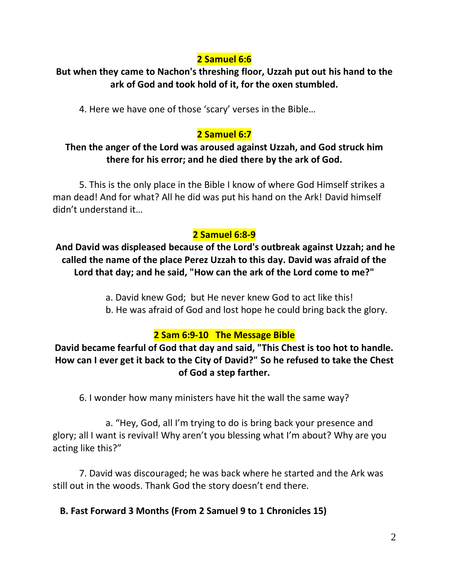# **2 Samuel 6:6**

## **But when they came to Nachon's threshing floor, Uzzah put out his hand to the ark of God and took hold of it, for the oxen stumbled.**

4. Here we have one of those 'scary' verses in the Bible…

# **2 Samuel 6:7**

## **Then the anger of the Lord was aroused against Uzzah, and God struck him there for his error; and he died there by the ark of God.**

5. This is the only place in the Bible I know of where God Himself strikes a man dead! And for what? All he did was put his hand on the Ark! David himself didn't understand it…

# **2 Samuel 6:8-9**

**And David was displeased because of the Lord's outbreak against Uzzah; and he called the name of the place Perez Uzzah to this day. David was afraid of the Lord that day; and he said, "How can the ark of the Lord come to me?"**

- a. David knew God; but He never knew God to act like this!
- b. He was afraid of God and lost hope he could bring back the glory.

# **2 Sam 6:9-10 The Message Bible**

## **David became fearful of God that day and said, "This Chest is too hot to handle. How can I ever get it back to the City of David?" So he refused to take the Chest of God a step farther.**

6. I wonder how many ministers have hit the wall the same way?

a. "Hey, God, all I'm trying to do is bring back your presence and glory; all I want is revival! Why aren't you blessing what I'm about? Why are you acting like this?"

7. David was discouraged; he was back where he started and the Ark was still out in the woods. Thank God the story doesn't end there.

**B. Fast Forward 3 Months (From 2 Samuel 9 to 1 Chronicles 15)**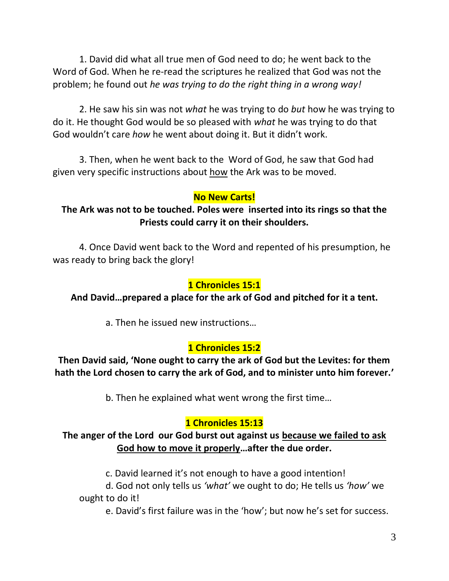1. David did what all true men of God need to do; he went back to the Word of God. When he re-read the scriptures he realized that God was not the problem; he found out *he was trying to do the right thing in a wrong way!*

2. He saw his sin was not *what* he was trying to do *but* how he was trying to do it. He thought God would be so pleased with *what* he was trying to do that God wouldn't care *how* he went about doing it. But it didn't work.

3. Then, when he went back to the Word of God, he saw that God had given very specific instructions about how the Ark was to be moved.

### **No New Carts!**

### **The Ark was not to be touched. Poles were inserted into its rings so that the Priests could carry it on their shoulders.**

4. Once David went back to the Word and repented of his presumption, he was ready to bring back the glory!

### **1 Chronicles 15:1**

### **And David…prepared a place for the ark of God and pitched for it a tent.**

a. Then he issued new instructions…

## **1 Chronicles 15:2**

**Then David said, 'None ought to carry the ark of God but the Levites: for them hath the Lord chosen to carry the ark of God, and to minister unto him forever.'**

b. Then he explained what went wrong the first time…

# **1 Chronicles 15:13**

### **The anger of the Lord our God burst out against us because we failed to ask God how to move it properly…after the due order.**

c. David learned it's not enough to have a good intention!

d. God not only tells us *'what'* we ought to do; He tells us *'how'* we ought to do it!

e. David's first failure was in the 'how'; but now he's set for success.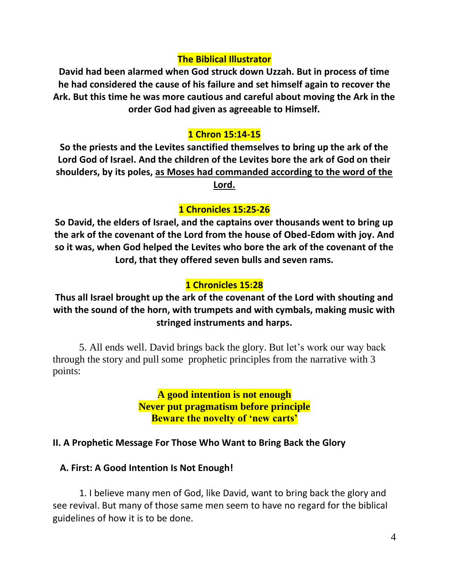#### **The Biblical Illustrator**

**David had been alarmed when God struck down Uzzah. But in process of time he had considered the cause of his failure and set himself again to recover the Ark. But this time he was more cautious and careful about moving the Ark in the order God had given as agreeable to Himself.**

### **1 Chron 15:14-15**

**So the priests and the Levites sanctified themselves to bring up the ark of the Lord God of Israel. And the children of the Levites bore the ark of God on their shoulders, by its poles, as Moses had commanded according to the word of the Lord.** 

### **1 Chronicles 15:25-26**

**So David, the elders of Israel, and the captains over thousands went to bring up the ark of the covenant of the Lord from the house of Obed-Edom with joy. And so it was, when God helped the Levites who bore the ark of the covenant of the Lord, that they offered seven bulls and seven rams.** 

### **1 Chronicles 15:28**

## **Thus all Israel brought up the ark of the covenant of the Lord with shouting and with the sound of the horn, with trumpets and with cymbals, making music with stringed instruments and harps.**

5. All ends well. David brings back the glory. But let's work our way back through the story and pull some prophetic principles from the narrative with 3 points:

> **A good intention is not enough Never put pragmatism before principle Beware the novelty of 'new carts'**

### **II. A Prophetic Message For Those Who Want to Bring Back the Glory**

#### **A. First: A Good Intention Is Not Enough!**

1. I believe many men of God, like David, want to bring back the glory and see revival. But many of those same men seem to have no regard for the biblical guidelines of how it is to be done.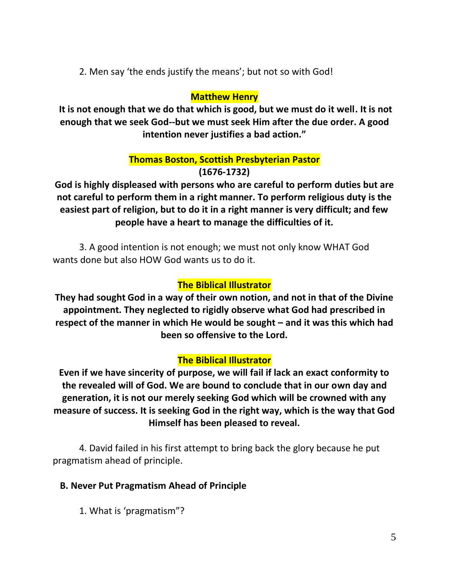2. Men say 'the ends justify the means'; but not so with God!

## **Matthew Henry**

**It is not enough that we do that which is good, but we must do it well. It is not enough that we seek God--but we must seek Him after the due order. A good intention never justifies a bad action."**

### **Thomas Boston, Scottish Presbyterian Pastor (1676-1732)**

**God is highly displeased with persons who are careful to perform duties but are not careful to perform them in a right manner. To perform religious duty is the easiest part of religion, but to do it in a right manner is very difficult; and few people have a heart to manage the difficulties of it.**

3. A good intention is not enough; we must not only know WHAT God wants done but also HOW God wants us to do it.

## **The Biblical Illustrator**

**They had sought God in a way of their own notion, and not in that of the Divine appointment. They neglected to rigidly observe what God had prescribed in respect of the manner in which He would be sought – and it was this which had been so offensive to the Lord.**

## **The Biblical Illustrator**

**Even if we have sincerity of purpose, we will fail if lack an exact conformity to the revealed will of God. We are bound to conclude that in our own day and generation, it is not our merely seeking God which will be crowned with any measure of success. It is seeking God in the right way, which is the way that God Himself has been pleased to reveal.**

4. David failed in his first attempt to bring back the glory because he put pragmatism ahead of principle.

## **B. Never Put Pragmatism Ahead of Principle**

1. What is 'pragmatism"?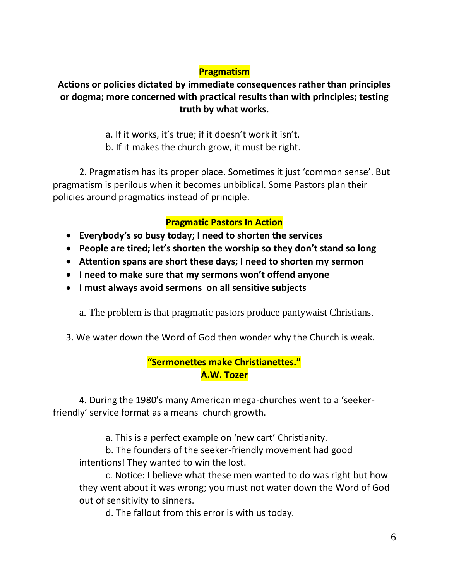## **Pragmatism**

## **Actions or policies dictated by immediate consequences rather than principles or dogma; more concerned with practical results than with principles; testing truth by what works.**

# a. If it works, it's true; if it doesn't work it isn't.

b. If it makes the church grow, it must be right.

2. Pragmatism has its proper place. Sometimes it just 'common sense'. But pragmatism is perilous when it becomes unbiblical. Some Pastors plan their policies around pragmatics instead of principle.

## **Pragmatic Pastors In Action**

- **Everybody's so busy today; I need to shorten the services**
- **People are tired; let's shorten the worship so they don't stand so long**
- **Attention spans are short these days; I need to shorten my sermon**
- **I need to make sure that my sermons won't offend anyone**
- **I must always avoid sermons on all sensitive subjects**

a. The problem is that pragmatic pastors produce pantywaist Christians.

3. We water down the Word of God then wonder why the Church is weak.

## **"Sermonettes make Christianettes." A.W. Tozer**

4. During the 1980's many American mega-churches went to a 'seekerfriendly' service format as a means church growth.

a. This is a perfect example on 'new cart' Christianity.

b. The founders of the seeker-friendly movement had good intentions! They wanted to win the lost.

c. Notice: I believe what these men wanted to do was right but how they went about it was wrong; you must not water down the Word of God out of sensitivity to sinners.

d. The fallout from this error is with us today.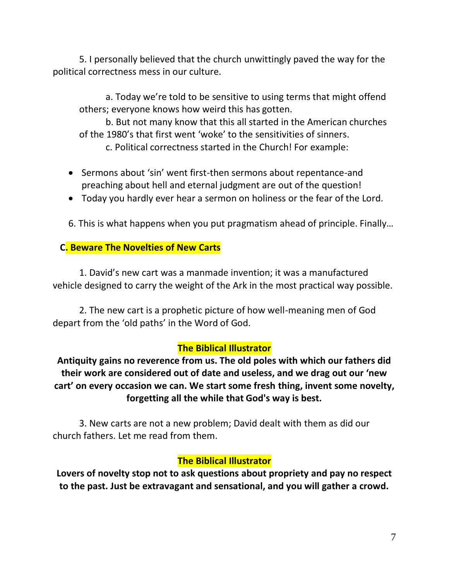5. I personally believed that the church unwittingly paved the way for the political correctness mess in our culture.

a. Today we're told to be sensitive to using terms that might offend others; everyone knows how weird this has gotten.

b. But not many know that this all started in the American churches of the 1980's that first went 'woke' to the sensitivities of sinners.

c. Political correctness started in the Church! For example:

- Sermons about 'sin' went first-then sermons about repentance-and preaching about hell and eternal judgment are out of the question!
- Today you hardly ever hear a sermon on holiness or the fear of the Lord.

6. This is what happens when you put pragmatism ahead of principle. Finally…

### **C. Beware The Novelties of New Carts**

1. David's new cart was a manmade invention; it was a manufactured vehicle designed to carry the weight of the Ark in the most practical way possible.

2. The new cart is a prophetic picture of how well-meaning men of God depart from the 'old paths' in the Word of God.

### **The Biblical Illustrator**

**Antiquity gains no reverence from us. The old poles with which our fathers did their work are considered out of date and useless, and we drag out our 'new cart' on every occasion we can. We start some fresh thing, invent some novelty, forgetting all the while that God's way is best.**

3. New carts are not a new problem; David dealt with them as did our church fathers. Let me read from them.

### **The Biblical Illustrator**

**Lovers of novelty stop not to ask questions about propriety and pay no respect to the past. Just be extravagant and sensational, and you will gather a crowd.**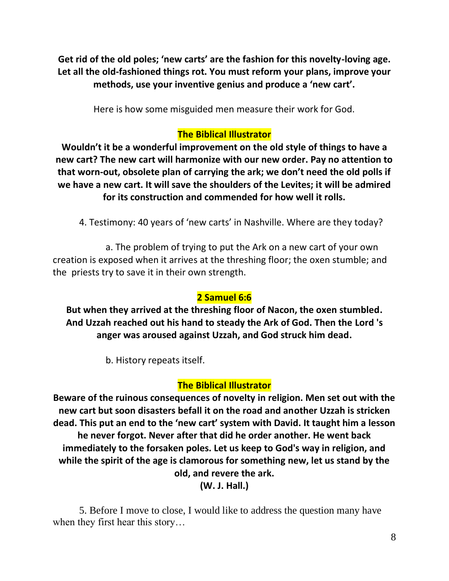**Get rid of the old poles; 'new carts' are the fashion for this novelty-loving age. Let all the old-fashioned things rot. You must reform your plans, improve your methods, use your inventive genius and produce a 'new cart'.**

Here is how some misguided men measure their work for God.

## **The Biblical Illustrator**

**Wouldn't it be a wonderful improvement on the old style of things to have a new cart? The new cart will harmonize with our new order. Pay no attention to that worn-out, obsolete plan of carrying the ark; we don't need the old polls if we have a new cart. It will save the shoulders of the Levites; it will be admired for its construction and commended for how well it rolls.** 

4. Testimony: 40 years of 'new carts' in Nashville. Where are they today?

a. The problem of trying to put the Ark on a new cart of your own creation is exposed when it arrives at the threshing floor; the oxen stumble; and the priests try to save it in their own strength.

## **2 Samuel 6:6**

**But when they arrived at the threshing floor of Nacon, the oxen stumbled. And Uzzah reached out his hand to steady the Ark of God. Then the Lord 's anger was aroused against Uzzah, and God struck him dead.**

b. History repeats itself.

## **The Biblical Illustrator**

**Beware of the ruinous consequences of novelty in religion. Men set out with the new cart but soon disasters befall it on the road and another Uzzah is stricken dead. This put an end to the 'new cart' system with David. It taught him a lesson he never forgot. Never after that did he order another. He went back immediately to the forsaken poles. Let us keep to God's way in religion, and while the spirit of the age is clamorous for something new, let us stand by the old, and revere the ark.**

**(W. J. Hall.)**

5. Before I move to close, I would like to address the question many have when they first hear this story…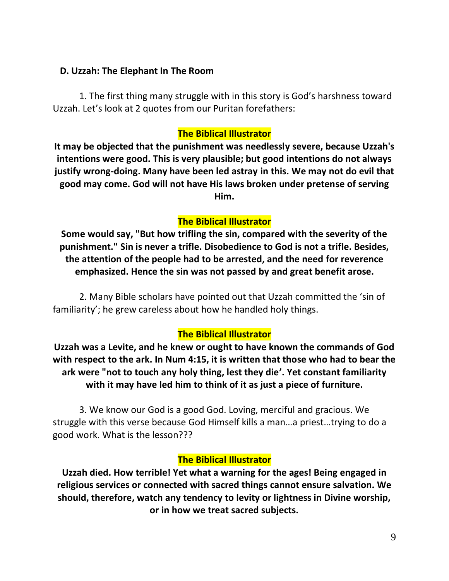#### **D. Uzzah: The Elephant In The Room**

1. The first thing many struggle with in this story is God's harshness toward Uzzah. Let's look at 2 quotes from our Puritan forefathers:

### **The Biblical Illustrator**

**It may be objected that the punishment was needlessly severe, because Uzzah's intentions were good. This is very plausible; but good intentions do not always justify wrong-doing. Many have been led astray in this. We may not do evil that good may come. God will not have His laws broken under pretense of serving Him.** 

## **The Biblical Illustrator**

**Some would say, "But how trifling the sin, compared with the severity of the punishment." Sin is never a trifle. Disobedience to God is not a trifle. Besides, the attention of the people had to be arrested, and the need for reverence emphasized. Hence the sin was not passed by and great benefit arose.**

2. Many Bible scholars have pointed out that Uzzah committed the 'sin of familiarity'; he grew careless about how he handled holy things.

## **The Biblical Illustrator**

**Uzzah was a Levite, and he knew or ought to have known the commands of God with respect to the ark. In Num 4:15, it is written that those who had to bear the ark were "not to touch any holy thing, lest they die'. Yet constant familiarity with it may have led him to think of it as just a piece of furniture.**

3. We know our God is a good God. Loving, merciful and gracious. We struggle with this verse because God Himself kills a man…a priest…trying to do a good work. What is the lesson???

## **The Biblical Illustrator**

**Uzzah died. How terrible! Yet what a warning for the ages! Being engaged in religious services or connected with sacred things cannot ensure salvation. We should, therefore, watch any tendency to levity or lightness in Divine worship, or in how we treat sacred subjects.**